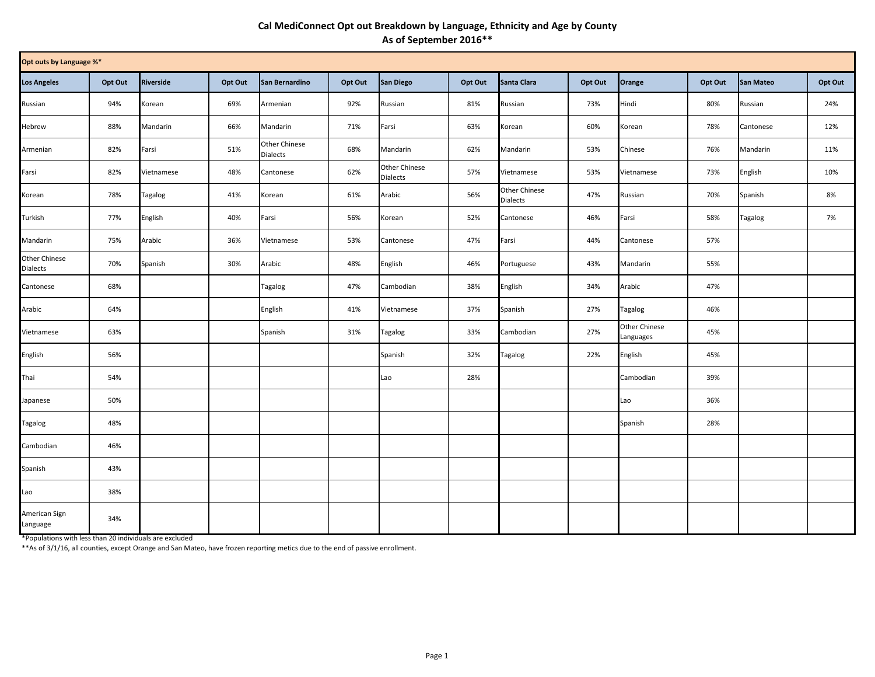## **Cal MediConnect Opt out Breakdown by Language, Ethnicity and Age by County As of September 2016\*\***

| Opt outs by Language %*   |         |                  |         |                           |         |                           |         |                                  |         |                            |         |                  |         |
|---------------------------|---------|------------------|---------|---------------------------|---------|---------------------------|---------|----------------------------------|---------|----------------------------|---------|------------------|---------|
| <b>Los Angeles</b>        | Opt Out | <b>Riverside</b> | Opt Out | San Bernardino            | Opt Out | San Diego                 | Opt Out | Santa Clara                      | Opt Out | Orange                     | Opt Out | <b>San Mateo</b> | Opt Out |
| Russian                   | 94%     | Korean           | 69%     | Armenian                  | 92%     | Russian                   | 81%     | Russian                          | 73%     | Hindi                      | 80%     | Russian          | 24%     |
| Hebrew                    | 88%     | Mandarin         | 66%     | Mandarin                  | 71%     | Farsi                     | 63%     | Korean                           | 60%     | Korean                     | 78%     | Cantonese        | 12%     |
| Armenian                  | 82%     | Farsi            | 51%     | Other Chinese<br>Dialects | 68%     | Mandarin                  | 62%     | Mandarin                         | 53%     | Chinese                    | 76%     | Mandarin         | 11%     |
| Farsi                     | 82%     | Vietnamese       | 48%     | Cantonese                 | 62%     | Other Chinese<br>Dialects | 57%     | Vietnamese                       | 53%     | Vietnamese                 | 73%     | English          | 10%     |
| Korean                    | 78%     | Tagalog          | 41%     | Korean                    | 61%     | Arabic                    | 56%     | Other Chinese<br><b>Dialects</b> | 47%     | Russian                    | 70%     | Spanish          | 8%      |
| Turkish                   | 77%     | English          | 40%     | Farsi                     | 56%     | Korean                    | 52%     | Cantonese                        | 46%     | Farsi                      | 58%     | Tagalog          | 7%      |
| Mandarin                  | 75%     | Arabic           | 36%     | Vietnamese                | 53%     | Cantonese                 | 47%     | Farsi                            | 44%     | Cantonese                  | 57%     |                  |         |
| Other Chinese<br>Dialects | 70%     | Spanish          | 30%     | Arabic                    | 48%     | English                   | 46%     | Portuguese                       | 43%     | Mandarin                   | 55%     |                  |         |
| Cantonese                 | 68%     |                  |         | Tagalog                   | 47%     | Cambodian                 | 38%     | English                          | 34%     | Arabic                     | 47%     |                  |         |
| Arabic                    | 64%     |                  |         | English                   | 41%     | Vietnamese                | 37%     | Spanish                          | 27%     | Tagalog                    | 46%     |                  |         |
| Vietnamese                | 63%     |                  |         | Spanish                   | 31%     | Tagalog                   | 33%     | Cambodian                        | 27%     | Other Chinese<br>Languages | 45%     |                  |         |
| English                   | 56%     |                  |         |                           |         | Spanish                   | 32%     | Tagalog                          | 22%     | English                    | 45%     |                  |         |
| Thai                      | 54%     |                  |         |                           |         | Lao                       | 28%     |                                  |         | Cambodian                  | 39%     |                  |         |
| Japanese                  | 50%     |                  |         |                           |         |                           |         |                                  |         | Lao                        | 36%     |                  |         |
| Tagalog                   | 48%     |                  |         |                           |         |                           |         |                                  |         | Spanish                    | 28%     |                  |         |
| Cambodian                 | 46%     |                  |         |                           |         |                           |         |                                  |         |                            |         |                  |         |
| Spanish                   | 43%     |                  |         |                           |         |                           |         |                                  |         |                            |         |                  |         |
| Lao                       | 38%     |                  |         |                           |         |                           |         |                                  |         |                            |         |                  |         |
| American Sign<br>Language | 34%     |                  |         |                           |         |                           |         |                                  |         |                            |         |                  |         |

\*Populations with less than 20 individuals are excluded

\*\*As of 3/1/16, all counties, except Orange and San Mateo, have frozen reporting metics due to the end of passive enrollment.